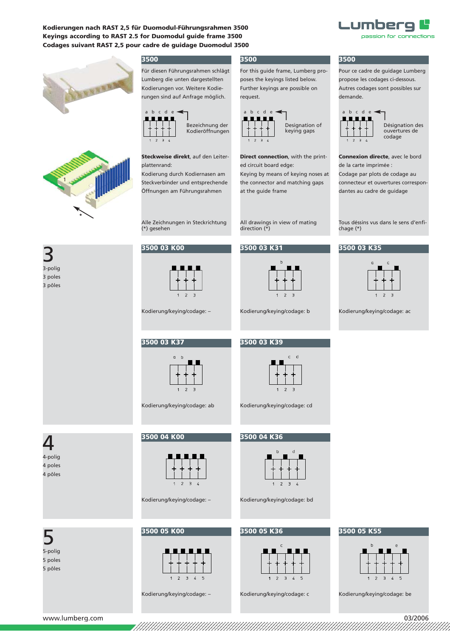





#### **3500**

Für diesen Führungsrahmen schlägt Lumberg die unten dargestellten Kodierungen vor. Weitere Kodierun gen sind auf Anfrage möglich.



**Steckweise direkt**, auf den Leiterplattenrand:

Kodierung durch Kodiernasen am Steckverbinder und entsprechende Öffnungen am Führungsrahmen

Alle Zeichnungen in Steckrichtung (\*) gesehen

Kodierung/keying/codage: –

**3500 03 K00**

**3500 03 K37**

**3500 04 K00**

**3500 05 K00**

#### **3500**

For this guide frame, Lumberg proposes the keyings listed below. Further keyings are possible on request.



**Direct connection**, with the printed circuit board edge: Keying by means of keying noses at

the connector and matching gaps at the guide frame

All drawings in view of mating direction (\*)

**3500 03 K31**



Kodierung/keying/codage: b

**3500 03 K39**



Kodierung/keying/codage: cd

# <u>/</u> 4-polig

3 3-polig

3 poles 3 pôles

4 poles 4 pôles



Kodierung/keying/codage: ab

 $\mathbf{r}$ 

 $\overline{z}$ 

Kodierung/keying/codage: –



5 poles

5 pôles

Kodierung/keying/codage: –

 $\overline{z}$  $\overline{3}$  $\mathcal{L}$ 



Kodierung/keying/codage: bd

## **3500 05 K36**



Kodierung/keying/codage: c

# **3500**

Pour ce cadre de guidage Lumberg propose les codages ci-dessous. Autres codages sont possibles sur demande.



**Connexion directe**, avec le bord de la carte imprimée :

Codage par plots de codage au connecteur et ouvertures correspondantes au cadre de guidage

Tous déssins vus dans le sens d'enfichage (\*)

### **3500 03 K35**



Kodierung/keying/codage: ac

# **3500 05 K55**



Kodierung/keying/codage: be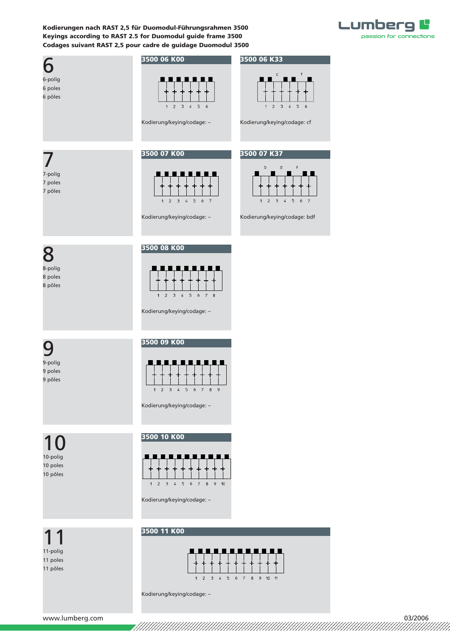

| 6-polig<br>6 poles<br>6 pôles                | 3500 06 K00<br>$\overline{2}$<br>$\overline{\mathbf{3}}$<br>$\frac{1}{4}$<br>5 <sub>1</sub><br>6<br>$\mathbf{1}$<br>Kodierung/keying/codage: - | 3500 06 K33<br>$\subset$<br>f<br>1<br>$\overline{2}$<br>$\exists$<br>$\overline{a}$<br>$5 -$<br>6<br>Kodierung/keying/codage: cf |
|----------------------------------------------|------------------------------------------------------------------------------------------------------------------------------------------------|----------------------------------------------------------------------------------------------------------------------------------|
| 7-polig<br>7 poles<br>7 pôles                | 3500 07 K00<br>1 2 3 4 5 6 7<br>Kodierung/keying/codage: -                                                                                     | 3500 07 K37<br>$\sf b$<br>d<br>$\mathsf f$<br>. .<br>$1 \quad 2 \quad 3 \quad 4 \quad 5$<br>6 7<br>Kodierung/keying/codage: bdf  |
| 8<br>8-polig<br>8 poles<br>8 pôles           | 3500 08 K00<br>.<br>$5\quad 6\quad 7\quad 8$<br>$\overline{2}$<br>$-3$ 4<br>1<br>Kodierung/keying/codage: -                                    |                                                                                                                                  |
| 9-polig<br>9 poles<br>9 pôles                | 3500 09 K00<br>$1 \t2 \t3 \t4$<br>5 6 7 8<br>9<br>Kodierung/keying/codage: -                                                                   |                                                                                                                                  |
| $\Omega$<br>10-polig<br>10 poles<br>10 pôles | 3500 10 K00<br>$1 \quad 2 \quad 3$<br>$\pmb{\mathcal{L}}$<br>$5 -$<br>78<br>$\epsilon$<br>9 10<br>Kodierung/keying/codage: -                   |                                                                                                                                  |
| 11-polig<br>11 poles<br>11 pôles             | 3500 11 K00                                                                                                                                    | ________________                                                                                                                 |

Kodierung/keying/codage: –

 $1 2 3 4 5 6 7 8 9 10 11$ 

www.lumberg.com 03/2006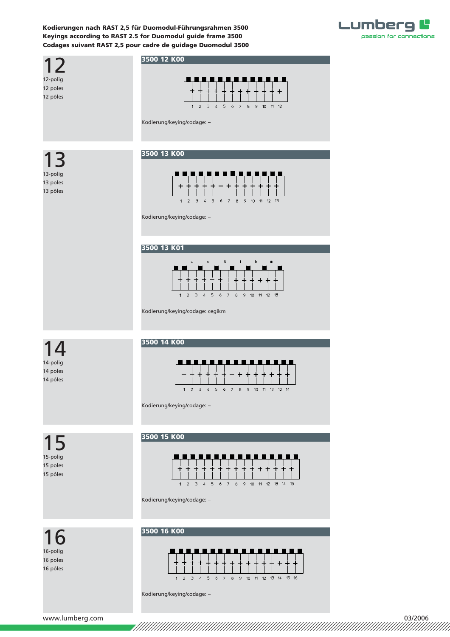



Kodierung/keying/codage: –

www.lumberg.com 03/2006